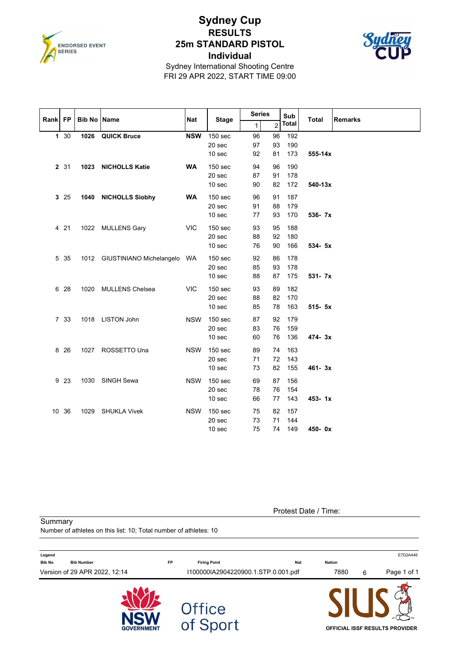

## **Sydney Cup RESULTS 25m STANDARD PISTOL Individual**



Sydney International Shooting Centre FRI 29 APR 2022, START TIME 09:00

| Rank FP |       | <b>Bib No</b> | <b>Name</b>                      | <b>Nat</b> | <b>Stage</b>                           | <b>Series</b>  |                | Sub               | <b>Total</b> | <b>Remarks</b> |
|---------|-------|---------------|----------------------------------|------------|----------------------------------------|----------------|----------------|-------------------|--------------|----------------|
|         |       |               |                                  |            |                                        | 1 <sup>1</sup> | $\overline{2}$ | <b>Total</b>      |              |                |
|         | 1 30  | 1026          | <b>QUICK Bruce</b>               | <b>NSW</b> | 150 sec<br>20 sec<br>10 sec            | 96<br>97<br>92 | 96<br>93<br>81 | 192<br>190<br>173 | 555-14x      |                |
|         | 2 31  |               | 1023 NICHOLLS Katie              | <b>WA</b>  | 150 sec<br>20 sec<br>10 sec            | 94<br>87<br>90 | 96<br>91<br>82 | 190<br>178<br>172 | 540-13x      |                |
|         | 3 25  |               | 1040 NICHOLLS Siobhy             | <b>WA</b>  | 150 sec<br>20 sec<br>10 sec            | 96<br>91<br>77 | 91<br>88<br>93 | 187<br>179<br>170 | 536- 7x      |                |
|         | 4 21  |               | 1022 MULLENS Gary                | <b>VIC</b> | 150 sec<br>20 sec<br>10 sec            | 93<br>88<br>76 | 95<br>92<br>90 | 188<br>180<br>166 | 534- 5x      |                |
|         | 5 35  |               | 1012 GIUSTINIANO Michelangelo WA |            | 150 sec<br>20 sec<br>10 <sub>sec</sub> | 92<br>85<br>88 | 86<br>93<br>87 | 178<br>178<br>175 | $531 - 7x$   |                |
|         | 6 28  | 1020          | MULLENS Chelsea                  | <b>VIC</b> | 150 sec<br>20 sec<br>10 sec            | 93<br>88<br>85 | 89<br>82<br>78 | 182<br>170<br>163 | 515- 5x      |                |
|         | 7 33  |               | 1018 LISTON John                 | <b>NSW</b> | 150 sec<br>20 sec<br>10 sec            | 87<br>83<br>60 | 92<br>76<br>76 | 179<br>159<br>136 | 474-3x       |                |
|         | 8 2 6 |               | 1027 ROSSETTO Una                | <b>NSW</b> | 150 <sub>sec</sub><br>20 sec<br>10 sec | 89<br>71<br>73 | 74<br>72<br>82 | 163<br>143<br>155 | 461-3x       |                |
|         | 9 23  | 1030          | SINGH Sewa                       | <b>NSW</b> | 150 sec<br>20 sec<br>10 sec            | 69<br>78<br>66 | 87<br>76<br>77 | 156<br>154<br>143 | $453 - 1x$   |                |
|         | 10 36 | 1029          | <b>SHUKLA Vivek</b>              | <b>NSW</b> | 150 sec<br>20 sec<br>10 sec            | 75<br>73<br>75 | 82<br>71<br>74 | 157<br>144<br>149 | 450-0x       |                |

Protest Date / Time:

**Summary** 

Number of athletes on this list: 10; Total number of athletes: 10

| Legend                             |           |                                     |        |   | E7D2A446                       |
|------------------------------------|-----------|-------------------------------------|--------|---|--------------------------------|
| <b>Bib No</b><br><b>Bib Number</b> | <b>FP</b> | <b>Firing Point</b><br><b>Nat</b>   | Nation |   |                                |
| Version of 29 APR 2022, 12:14      |           | I100000IA2904220900.1.STP.0.001.pdf | 7880   | 6 | Page 1 of 1                    |
| <b>GOVERNMENT</b>                  |           | Office<br>of Sport                  |        |   | OFFICIAL ISSF RESULTS PROVIDER |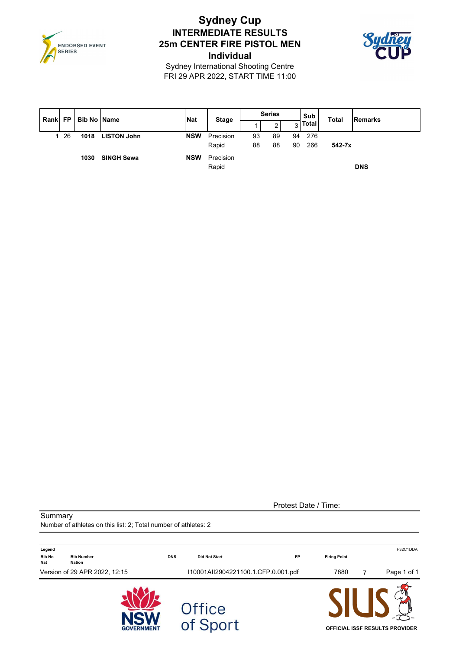

## **Sydney Cup INTERMEDIATE RESULTS 25m CENTER FIRE PISTOL MEN Individual**



Sydney International Shooting Centre FRI 29 APR 2022, START TIME 11:00

| Rank   FP   Bib No   Name |     |      |                    | <b>Nat</b> | <b>Stage</b>       |          | <b>Series</b> |          | Sub        | <b>Total</b> | <b>Remarks</b> |
|---------------------------|-----|------|--------------------|------------|--------------------|----------|---------------|----------|------------|--------------|----------------|
|                           |     |      |                    |            |                    |          | 2             | 3        | Total      |              |                |
|                           | -26 | 1018 | <b>LISTON John</b> | <b>NSW</b> | Precision<br>Rapid | 93<br>88 | 89<br>88      | 94<br>90 | 276<br>266 | $542 - 7x$   |                |
|                           |     | 1030 | <b>SINGH Sewa</b>  | <b>NSW</b> | Precision<br>Rapid |          |               |          |            |              | <b>DNS</b>     |

Protest Date / Time:

**Summary** 

Number of athletes on this list: 2; Total number of athletes: 2

| Legend                      |                               |            |                                     |           |                     | F32C1DDA                              |
|-----------------------------|-------------------------------|------------|-------------------------------------|-----------|---------------------|---------------------------------------|
| <b>Bib No</b><br><b>Nat</b> | <b>Bib Number</b><br>Nation   | <b>DNS</b> | <b>Did Not Start</b>                | <b>FP</b> | <b>Firing Point</b> |                                       |
|                             | Version of 29 APR 2022, 12:15 |            | I10001AII2904221100.1.CFP.0.001.pdf |           | 7880                | Page 1 of 1<br>7                      |
|                             | <b>GOVERNMENT</b>             |            | Office<br>of Sport                  |           |                     | <b>OFFICIAL ISSF RESULTS PROVIDER</b> |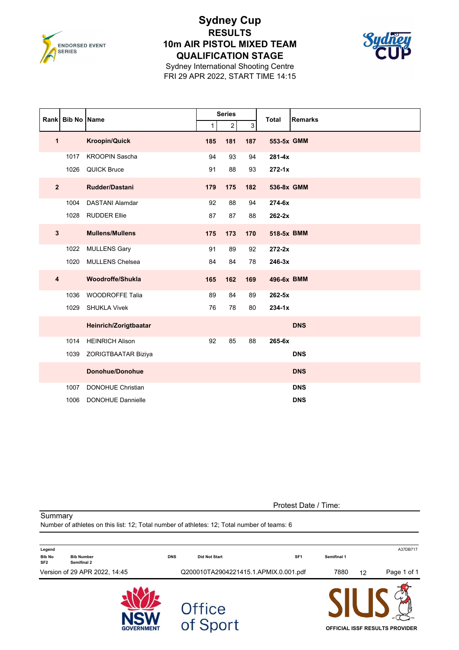

### **Sydney Cup RESULTS 10m AIR PISTOL MIXED TEAM QUALIFICATION STAGE**



Sydney International Shooting Centre FRI 29 APR 2022, START TIME 14:15

|                | Rank Bib No Name |                          |     | <b>Series</b>  |     | <b>Total</b> | <b>Remarks</b> |
|----------------|------------------|--------------------------|-----|----------------|-----|--------------|----------------|
|                |                  |                          | 1   | $\overline{c}$ | 3   |              |                |
| 1              |                  | <b>Kroopin/Quick</b>     | 185 | 181            | 187 | 553-5x GMM   |                |
|                | 1017             | <b>KROOPIN Sascha</b>    | 94  | 93             | 94  | $281 - 4x$   |                |
|                | 1026             | <b>QUICK Bruce</b>       | 91  | 88             | 93  | $272 - 1x$   |                |
| $\overline{2}$ |                  | Rudder/Dastani           | 179 | 175            | 182 | 536-8x GMM   |                |
|                | 1004             | <b>DASTANI Alamdar</b>   | 92  | 88             | 94  | 274-6x       |                |
|                | 1028             | <b>RUDDER Ellie</b>      | 87  | 87             | 88  | 262-2x       |                |
| $\mathbf{3}$   |                  | <b>Mullens/Mullens</b>   | 175 | 173            | 170 | 518-5x BMM   |                |
|                | 1022             | <b>MULLENS Gary</b>      | 91  | 89             | 92  | $272 - 2x$   |                |
|                | 1020             | <b>MULLENS Chelsea</b>   | 84  | 84             | 78  | $246 - 3x$   |                |
| $\overline{4}$ |                  | Woodroffe/Shukla         | 165 | 162            | 169 | 496-6x BMM   |                |
|                | 1036             | <b>WOODROFFE Talia</b>   | 89  | 84             | 89  | $262 - 5x$   |                |
|                | 1029             | <b>SHUKLA Vivek</b>      | 76  | 78             | 80  | $234 - 1x$   |                |
|                |                  | Heinrich/Zorigtbaatar    |     |                |     |              | <b>DNS</b>     |
|                | 1014             | <b>HEINRICH Alison</b>   | 92  | 85             | 88  | 265-6x       |                |
|                | 1039             | ZORIGTBAATAR Biziya      |     |                |     |              | <b>DNS</b>     |
|                |                  | <b>Donohue/Donohue</b>   |     |                |     |              | <b>DNS</b>     |
|                | 1007             | <b>DONOHUE Christian</b> |     |                |     |              | <b>DNS</b>     |
|                | 1006             | <b>DONOHUE Dannielle</b> |     |                |     |              | <b>DNS</b>     |

Protest Date / Time:

**Summary** 

Number of athletes on this list: 12; Total number of athletes: 12; Total number of teams: 6

| Legend                           |                                  |            |                                       |                 |             |    | A37DB717                              |
|----------------------------------|----------------------------------|------------|---------------------------------------|-----------------|-------------|----|---------------------------------------|
| <b>Bib No</b><br>SF <sub>2</sub> | <b>Bib Number</b><br>Semifinal 2 | <b>DNS</b> | <b>Did Not Start</b>                  | SF <sub>1</sub> | Semifinal 1 |    |                                       |
|                                  | Version of 29 APR 2022, 14:45    |            | Q200010TA2904221415.1.APMIX.0.001.pdf |                 | 7880        | 12 | Page 1 of 1                           |
|                                  | <b>GOVERNMENT</b>                |            | <b>Office</b><br>of Sport             |                 |             |    | <b>OFFICIAL ISSF RESULTS PROVIDER</b> |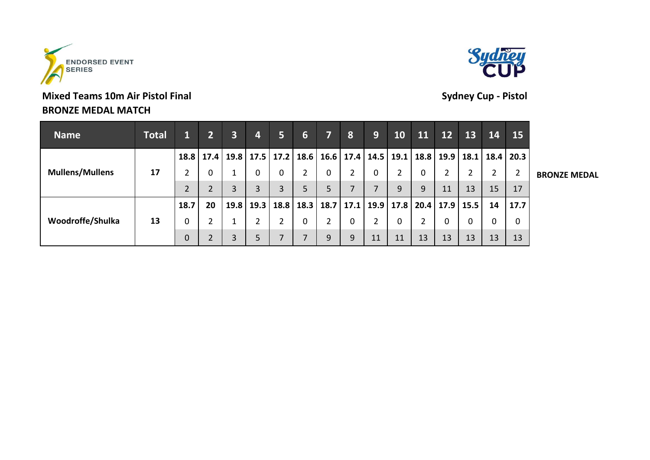

# **Mixed Teams 10m Air Pistol Final Sydney Cup - Pistol BRONZE MEDAL MATCH**



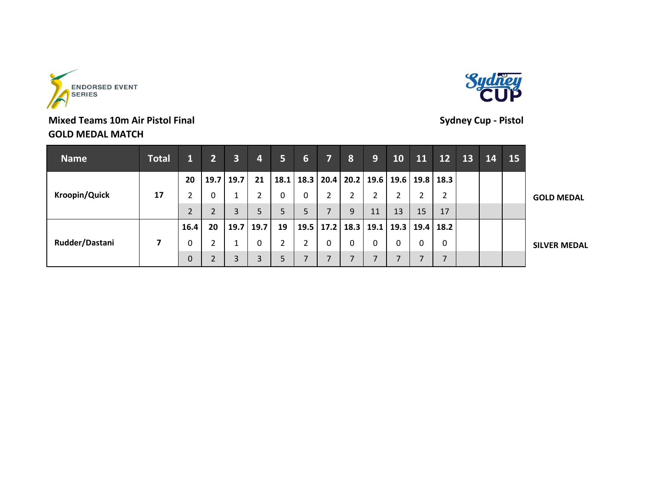



# **Mixed Teams 10m Air Pistol Final Sydney Cup - Pistol GOLD MEDAL MATCH**

| <b>Name</b>          | <b>Total</b> |      | $2^{\circ}$ | $\overline{\mathbf{3}}$ | $\overline{4}$ | 5              | 6 | 7. | 8                                | 9  | 10             | 11 | $\overline{1}2$                                | 13 | 14 | 15 <sub>2</sub> |                     |
|----------------------|--------------|------|-------------|-------------------------|----------------|----------------|---|----|----------------------------------|----|----------------|----|------------------------------------------------|----|----|-----------------|---------------------|
|                      |              | 20   | 19.7        | 19.7                    | 21             | 18.1           |   |    |                                  |    |                |    | 18.3   20.4   20.2   19.6   19.6   19.8   18.3 |    |    |                 |                     |
| <b>Kroopin/Quick</b> | 17           |      |             | Τ.                      |                | 0              | 0 |    | ำ                                |    | ำ<br>∠         |    |                                                |    |    |                 | <b>GOLD MEDAL</b>   |
|                      |              | 2    | า           | 3                       | 5              | 5              | 5 | 7  | 9                                | 11 | 13             | 15 | 17                                             |    |    |                 |                     |
|                      |              | 16.4 | 20          |                         | $19.7$ 19.7    | 19             |   |    | 19.5   17.2   18.3   19.1   19.3 |    |                |    | $19.4$ 18.2                                    |    |    |                 |                     |
| Rudder/Dastani       | 7            | 0    |             |                         | 0              | $\overline{2}$ | າ |    | 0                                |    | 0              | 0  | 0                                              |    |    |                 | <b>SILVER MEDAL</b> |
|                      |              | 0    | C.          | 3                       | 3              | 5              |   | ⇁  | $\overline{7}$                   |    | $\overline{7}$ |    | ⇁                                              |    |    |                 |                     |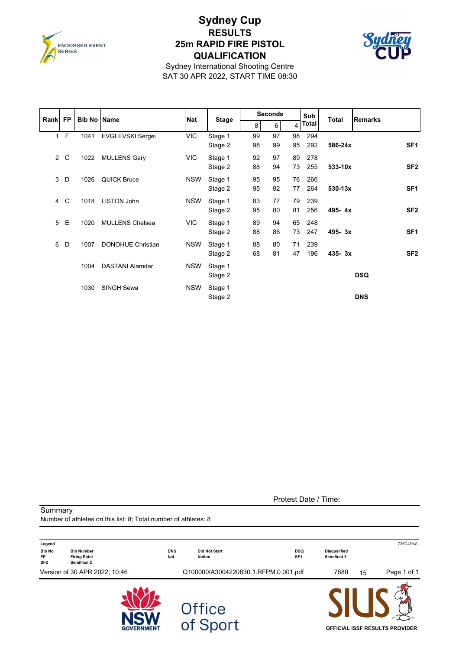

### **Sydney Cup RESULTS 25m RAPID FIRE PISTOL QUALIFICATION**



Sydney International Shooting Centre SAT 30 APR 2022, START TIME 08:30

| Rank FP        |       | <b>Bib No Name</b> |                          | <b>Nat</b> |              |    | <b>Seconds</b> |                | Sub   | Total       | <b>Remarks</b>  |
|----------------|-------|--------------------|--------------------------|------------|--------------|----|----------------|----------------|-------|-------------|-----------------|
|                |       |                    |                          |            | <b>Stage</b> | 8  | 6              | $\overline{4}$ | Total |             |                 |
|                | $1$ F | 1041               | <b>EVGLEVSKI Sergei</b>  | <b>VIC</b> | Stage 1      | 99 | 97             | 98             | 294   |             |                 |
|                |       |                    |                          |            | Stage 2      | 98 | 99             | 95             | 292   | 586-24x     | SF <sub>1</sub> |
| $\overline{2}$ | C     | 1022               | <b>MULLENS Gary</b>      | <b>VIC</b> | Stage 1      | 92 | 97             | 89             | 278   |             |                 |
|                |       |                    |                          |            | Stage 2      | 88 | 94             | 73             | 255   | 533-10x     | SF <sub>2</sub> |
| 3              | D     | 1026               | <b>QUICK Bruce</b>       | <b>NSW</b> | Stage 1      | 95 | 95             | 76             | 266   |             |                 |
|                |       |                    |                          |            | Stage 2      | 95 | 92             | 77             | 264   | $530 - 13x$ | SF <sub>1</sub> |
| 4              | C     | 1018               | <b>LISTON John</b>       | <b>NSW</b> | Stage 1      | 83 | 77             | 79             | 239   |             |                 |
|                |       |                    |                          |            | Stage 2      | 95 | 80             | 81             | 256   | 495-4x      | SF <sub>2</sub> |
| 5              | E     | 1020               | <b>MULLENS Chelsea</b>   | <b>VIC</b> | Stage 1      | 89 | 94             | 65             | 248   |             |                 |
|                |       |                    |                          |            | Stage 2      | 88 | 86             | 73             | 247   | 495-3x      | SF <sub>1</sub> |
| 6              | D     | 1007               | <b>DONOHUE Christian</b> | <b>NSW</b> | Stage 1      | 88 | 80             | 71             | 239   |             |                 |
|                |       |                    |                          |            | Stage 2      | 68 | 81             | 47             | 196   | $435 - 3x$  | SF <sub>2</sub> |
|                |       | 1004               | <b>DASTANI Alamdar</b>   | <b>NSW</b> | Stage 1      |    |                |                |       |             |                 |
|                |       |                    |                          |            | Stage 2      |    |                |                |       |             | <b>DSQ</b>      |
|                |       | 1030               | SINGH Sewa               | <b>NSW</b> | Stage 1      |    |                |                |       |             |                 |
|                |       |                    |                          |            | Stage 2      |    |                |                |       |             | <b>DNS</b>      |

**Summary** 

Protest Date / Time:

Number of athletes on this list: 8; Total number of athletes: 8 **Legend** 725C4D4A **Bib No Bib Number DNS Did Not Start DSQ Disqualified SF2 Semifinal 2 FP Firing Point Nat Nation SF1 Semifinal 1** Version of 30 APR 2022, 10:46 Q100000IA3004220830.1.RFPM.0.001.pdf 7880 15 Page 1 of 1 Office<br>of Sport **OFFICIAL ISSF RESULTS PROVIDER**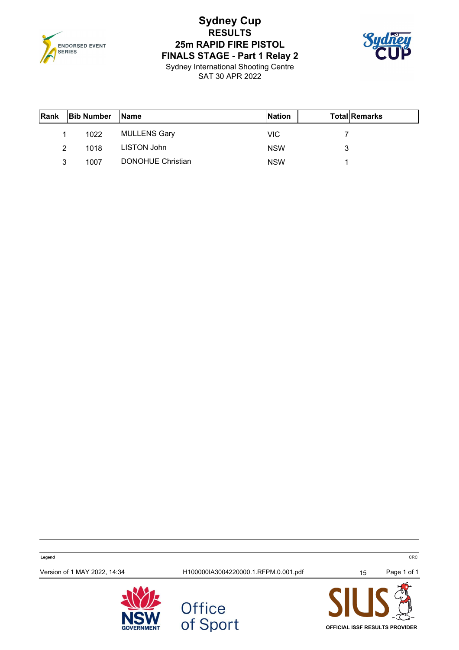

# **Sydney Cup RESULTS 25m RAPID FIRE PISTOL FINALS STAGE - Part 1 Relay 2**



Sydney International Shooting Centre SAT 30 APR 2022

| Rank | <b>Bib Number</b> | <b>IName</b>        | <b>Nation</b> | <b>TotallRemarks</b> |
|------|-------------------|---------------------|---------------|----------------------|
|      | 1022              | <b>MULLENS Gary</b> | VIC.          |                      |
| 2    | 1018              | LISTON John         | <b>NSW</b>    | 3                    |
| 3    | 1007              | DONOHUE Christian   | <b>NSW</b>    |                      |

**Legend** CRC Version of 1 MAY 2022, 14:34 <br>
H100000IA3004220000.1.RFPM.0.001.pdf 15 Page 1 of 1





**OFFICIAL ISSF RESULTS PROVIDER**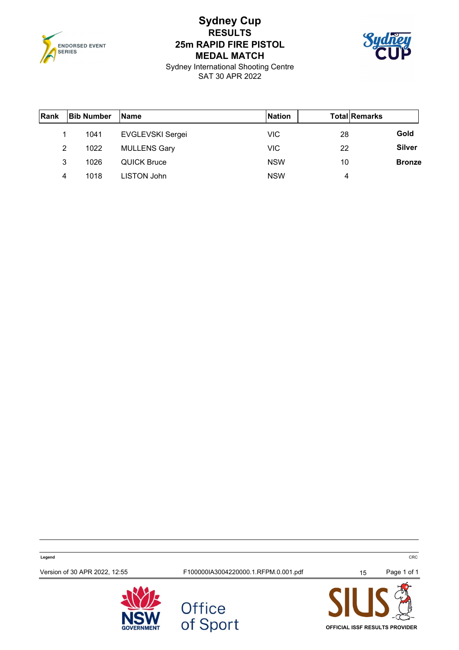

# **Sydney Cup RESULTS 25m RAPID FIRE PISTOL MEDAL MATCH**



Sydney International Shooting Centre SAT 30 APR 2022

| Rank | <b>Bib Number</b> | <b>Name</b>         | <b>Nation</b> | <b>Total Remarks</b> |               |
|------|-------------------|---------------------|---------------|----------------------|---------------|
|      | 1041              | EVGLEVSKI Sergei    | <b>VIC</b>    | 28                   | Gold          |
| 2    | 1022              | <b>MULLENS Gary</b> | <b>VIC</b>    | 22                   | <b>Silver</b> |
| 3    | 1026              | <b>QUICK Bruce</b>  | <b>NSW</b>    | 10                   | <b>Bronze</b> |
| 4    | 1018              | LISTON John         | <b>NSW</b>    | 4                    |               |

**Legend** CRC Version of 30 APR 2022, 12:55 F100000IA3004220000.1.RFPM.0.001.pdf 15 Page 1 of 1





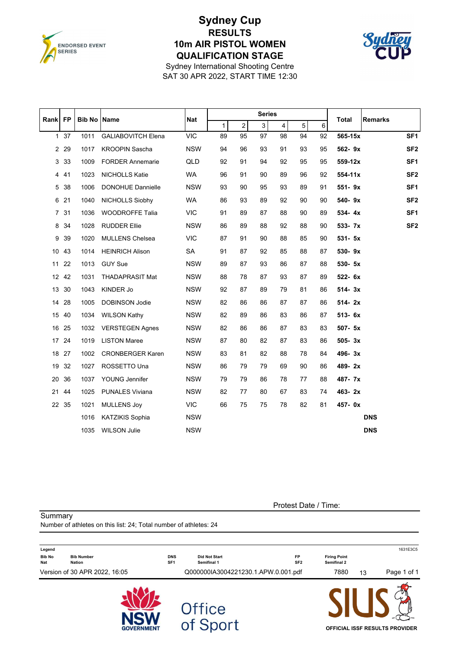

Summary

## **Sydney Cup RESULTS 10m AIR PISTOL WOMEN QUALIFICATION STAGE**



Sydney International Shooting Centre SAT 30 APR 2022, START TIME 12:30

|                 |              |               |                           |            | <b>Series</b> |                |          |                         |    |    |              |                 |
|-----------------|--------------|---------------|---------------------------|------------|---------------|----------------|----------|-------------------------|----|----|--------------|-----------------|
| Rank FP         |              | <b>Bib No</b> | <b>Name</b>               | <b>Nat</b> | $\mathbf{1}$  | $\overline{2}$ | $3\vert$ | $\overline{\mathbf{4}}$ | 5  | 6  | <b>Total</b> | <b>Remarks</b>  |
|                 | $1 \quad 37$ | 1011          | <b>GALIABOVITCH Elena</b> | <b>VIC</b> | 89            | 95             | 97       | 98                      | 94 | 92 | 565-15x      | SF <sub>1</sub> |
|                 | 2 2 9        | 1017          | <b>KROOPIN Sascha</b>     | <b>NSW</b> | 94            | 96             | 93       | 91                      | 93 | 95 | 562-9x       | SF <sub>2</sub> |
|                 | 3 3 3        | 1009          | <b>FORDER Annemarie</b>   | QLD        | 92            | 91             | 94       | 92                      | 95 | 95 | 559-12x      | SF <sub>1</sub> |
|                 | 4 41         | 1023          | NICHOLLS Katie            | WA         | 96            | 91             | 90       | 89                      | 96 | 92 | $554 - 11x$  | SF <sub>2</sub> |
| 5               | 38           | 1006          | <b>DONOHUE Dannielle</b>  | <b>NSW</b> | 93            | 90             | 95       | 93                      | 89 | 91 | 551-9x       | SF <sub>1</sub> |
|                 | 6 21         | 1040          | <b>NICHOLLS Siobhy</b>    | <b>WA</b>  | 86            | 93             | 89       | 92                      | 90 | 90 | 540-9x       | SF <sub>2</sub> |
|                 | 7 31         | 1036          | WOODROFFE Talia           | <b>VIC</b> | 91            | 89             | 87       | 88                      | 90 | 89 | $534 - 4x$   | SF <sub>1</sub> |
| 8               | 34           | 1028          | <b>RUDDER Ellie</b>       | <b>NSW</b> | 86            | 89             | 88       | 92                      | 88 | 90 | 533- 7x      | SF <sub>2</sub> |
| 9               | 39           | 1020          | <b>MULLENS Chelsea</b>    | <b>VIC</b> | 87            | 91             | 90       | 88                      | 85 | 90 | $531 - 5x$   |                 |
| 10 <sup>°</sup> | 43           | 1014          | <b>HEINRICH Alison</b>    | SA         | 91            | 87             | 92       | 85                      | 88 | 87 | 530-9x       |                 |
| 11              | 22           | 1013          | <b>GUY Sue</b>            | <b>NSW</b> | 89            | 87             | 93       | 86                      | 87 | 88 | 530- 5x      |                 |
|                 | 12 42        | 1031          | <b>THADAPRASIT Mat</b>    | <b>NSW</b> | 88            | 78             | 87       | 93                      | 87 | 89 | 522- 6x      |                 |
|                 | 13 30        | 1043          | KINDER Jo                 | <b>NSW</b> | 92            | 87             | 89       | 79                      | 81 | 86 | $514 - 3x$   |                 |
|                 | 14 28        | 1005          | <b>DOBINSON Jodie</b>     | <b>NSW</b> | 82            | 86             | 86       | 87                      | 87 | 86 | $514 - 2x$   |                 |
|                 | 15 40        | 1034          | <b>WILSON Kathy</b>       | <b>NSW</b> | 82            | 89             | 86       | 83                      | 86 | 87 | $513 - 6x$   |                 |
|                 | 16 25        | 1032          | <b>VERSTEGEN Agnes</b>    | <b>NSW</b> | 82            | 86             | 86       | 87                      | 83 | 83 | 507- 5x      |                 |
|                 | 17 24        | 1019          | <b>LISTON Maree</b>       | <b>NSW</b> | 87            | 80             | 82       | 87                      | 83 | 86 | $505 - 3x$   |                 |
|                 | 18 27        | 1002          | <b>CRONBERGER Karen</b>   | <b>NSW</b> | 83            | 81             | 82       | 88                      | 78 | 84 | 496-3x       |                 |
| 19              | 32           | 1027          | ROSSETTO Una              | <b>NSW</b> | 86            | 79             | 79       | 69                      | 90 | 86 | 489-2x       |                 |
| 20              | 36           | 1037          | YOUNG Jennifer            | <b>NSW</b> | 79            | 79             | 86       | 78                      | 77 | 88 | 487-7x       |                 |
| 21              | 44           | 1025          | <b>PUNALES Viviana</b>    | <b>NSW</b> | 82            | 77             | 80       | 67                      | 83 | 74 | 463-2x       |                 |
|                 | 22 35        | 1021          | <b>MULLENS Joy</b>        | <b>VIC</b> | 66            | 75             | 75       | 78                      | 82 | 81 | 457-0x       |                 |
|                 |              | 1016          | <b>KATZIKIS Sophia</b>    | <b>NSW</b> |               |                |          |                         |    |    |              | <b>DNS</b>      |
|                 |              | 1035          | <b>WILSON Julie</b>       | <b>NSW</b> |               |                |          |                         |    |    |              | <b>DNS</b>      |

Protest Date / Time:

**OFFICIAL ISSF RESULTS PROVIDER**

Number of athletes on this list: 24; Total number of athletes: 24 **Legend** 1631E3C5 **Bib No Bib Number DNS Did Not Start FP Firing Point Nat Nation SF1 Semifinal 1 SF2 Semifinal 2** Version of 30 APR 2022, 16:05 Q000000IA3004221230.1.APW.0.001.pdf 7880 13 Page 1 of 1 Office<br>of Sport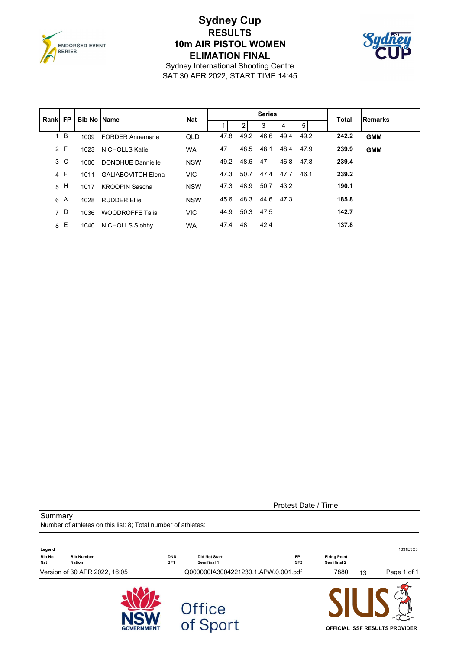

## **Sydney Cup RESULTS 10m AIR PISTOL WOMEN ELIMATION FINAL**



Sydney International Shooting Centre SAT 30 APR 2022, START TIME 14:45

| Rankl | <b>FP</b> |      | <b>Bib No IName</b>       | <b>Nat</b> |      |      | <b>Series</b> |      |      | <b>Total</b> | <b>Remarks</b> |
|-------|-----------|------|---------------------------|------------|------|------|---------------|------|------|--------------|----------------|
|       |           |      |                           |            |      | 2    | 3             | 4    | 5    |              |                |
|       | 1 B       | 1009 | <b>FORDER Annemarie</b>   | QLD        | 47.8 | 49.2 | 46.6          | 49.4 | 49.2 | 242.2        | <b>GMM</b>     |
|       | 2 F       | 1023 | <b>NICHOLLS Katie</b>     | <b>WA</b>  | 47   | 48.5 | 48.1          | 48.4 | 47.9 | 239.9        | <b>GMM</b>     |
|       | 3 C       | 1006 | <b>DONOHUE Dannielle</b>  | <b>NSW</b> | 49.2 | 48.6 | 47            | 46.8 | 47.8 | 239.4        |                |
|       | 4 F       | 1011 | <b>GALIABOVITCH Elena</b> | <b>VIC</b> | 47.3 | 50.7 | 47.4          | 47.7 | 46.1 | 239.2        |                |
|       | 5H        | 1017 | <b>KROOPIN Sascha</b>     | <b>NSW</b> | 47.3 | 48.9 | 50.7          | 43.2 |      | 190.1        |                |
| 6     | A         | 1028 | <b>RUDDER Ellie</b>       | <b>NSW</b> | 45.6 | 48.3 | 44.6          | 47.3 |      | 185.8        |                |
|       | 7 D       | 1036 | <b>WOODROFFE Talia</b>    | <b>VIC</b> | 44.9 | 50.3 | 47.5          |      |      | 142.7        |                |
| 8     | Е         | 1040 | <b>NICHOLLS Siobhy</b>    | <b>WA</b>  | 47.4 | 48   | 42.4          |      |      | 137.8        |                |

Protest Date / Time:

**Summary** 

Number of athletes on this list: 8; Total number of athletes:

| Legend               |                               |                               |                                     |                              |                                    |    | 1631E3C5                              |
|----------------------|-------------------------------|-------------------------------|-------------------------------------|------------------------------|------------------------------------|----|---------------------------------------|
| <b>Bib No</b><br>Nat | <b>Bib Number</b><br>Nation   | <b>DNS</b><br>SF <sub>1</sub> | <b>Did Not Start</b><br>Semifinal 1 | <b>FP</b><br>SF <sub>2</sub> | <b>Firing Point</b><br>Semifinal 2 |    |                                       |
|                      | Version of 30 APR 2022, 16:05 |                               | Q000000IA3004221230.1.APW.0.001.pdf |                              | 7880                               | 13 | Page 1 of 1                           |
|                      | <b>GOVERNMENT</b>             |                               | <b>Office</b><br>of Sport           |                              |                                    |    | <b>OFFICIAL ISSF RESULTS PROVIDER</b> |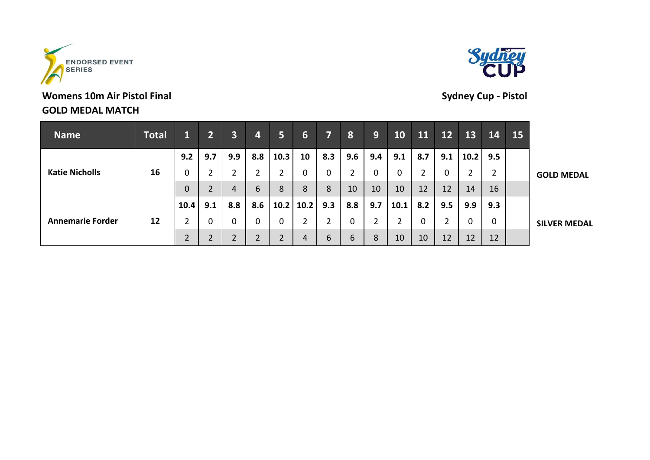

# **Womens 10m Air Pistol Final Sydney Cup - Pistol GOLD MEDAL MATCH**



| <b>Name</b>             | <b>Total</b> | T.   | $\overline{2}$ | $\overline{\mathbf{3}}$ | 4   | 5              | $6 \overline{6}$ | 71  | 8              | 9   | 10             | <b>11</b> | <b>12</b> | 13   | 14             | 15 |                     |
|-------------------------|--------------|------|----------------|-------------------------|-----|----------------|------------------|-----|----------------|-----|----------------|-----------|-----------|------|----------------|----|---------------------|
|                         |              | 9.2  | 9.7            | 9.9                     | 8.8 | 10.3           | 10               | 8.3 | 9.6            | 9.4 | 9.1            | 8.7       | 9.1       | 10.2 | 9.5            |    |                     |
| <b>Katie Nicholls</b>   | 16           |      |                | 2                       |     | $\overline{2}$ |                  | 0   | $\overline{2}$ | 0   | 0              |           | 0         | 2    | $\overline{2}$ |    | <b>GOLD MEDAL</b>   |
|                         |              |      | า              | 4                       | 6   | 8              | 8                | 8   | 10             | 10  | 10             | 12        | 12        | 14   | 16             |    |                     |
|                         |              | 10.4 | 9.1            | 8.8                     | 8.6 |                | $10.2$   10.2    | 9.3 | 8.8            | 9.7 | 10.1           | 8.2       | 9.5       | 9.9  | 9.3            |    |                     |
| <b>Annemarie Forder</b> | 12           |      | 0              | 0                       | 0   | $\mathbf 0$    |                  | ำ   | 0              | 2   | $\overline{2}$ |           | ∍         | 0    | 0              |    | <b>SILVER MEDAL</b> |
|                         |              |      | ⌒              | $\overline{2}$          | ำ   | $\overline{2}$ | 4                | 6   | 6              | 8   | 10             | 10        | 12        | 12   | 12             |    |                     |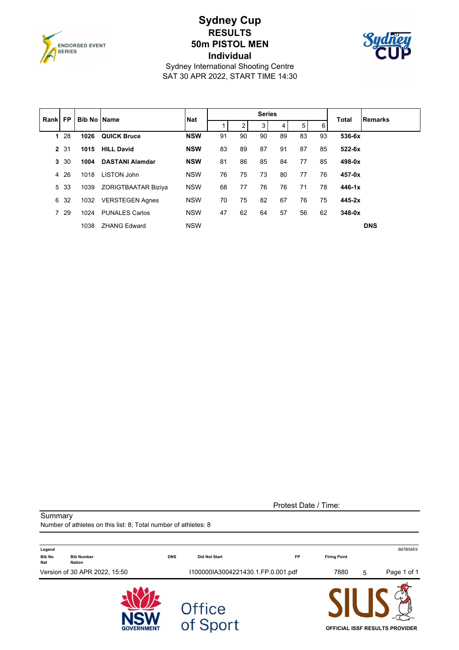

## **Sydney Cup RESULTS 50m PISTOL MEN Individual**



Sydney International Shooting Centre SAT 30 APR 2022, START TIME 14:30

| Rankl | <b>FP</b> | <b>Bib No Name</b> |                        | <b>Nat</b> |    |    | <b>Series</b> |                |    |    | <b>Total</b> | <b>Remarks</b> |
|-------|-----------|--------------------|------------------------|------------|----|----|---------------|----------------|----|----|--------------|----------------|
|       |           |                    |                        |            |    | 2  | 3             | $\overline{4}$ | 5  | 6  |              |                |
| 1     | -28       | 1026               | <b>QUICK Bruce</b>     | <b>NSW</b> | 91 | 90 | 90            | 89             | 83 | 93 | 536-6x       |                |
|       | 2 31      | 1015               | <b>HILL David</b>      | <b>NSW</b> | 83 | 89 | 87            | 91             | 87 | 85 | $522-6x$     |                |
| 3     | 30        | 1004               | <b>DASTANI Alamdar</b> | <b>NSW</b> | 81 | 86 | 85            | 84             | 77 | 85 | $498 - 0x$   |                |
| 4     | 26        | 1018               | <b>LISTON John</b>     | <b>NSW</b> | 76 | 75 | 73            | 80             | 77 | 76 | 457-0x       |                |
| 5     | 33        | 1039               | ZORIGTBAATAR Biziya    | <b>NSW</b> | 68 | 77 | 76            | 76             | 71 | 78 | $446 - 1x$   |                |
| 6     | 32        | 1032               | <b>VERSTEGEN Agnes</b> | <b>NSW</b> | 70 | 75 | 82            | 67             | 76 | 75 | $445 - 2x$   |                |
|       | 7 29      | 1024               | <b>PUNALES Carlos</b>  | <b>NSW</b> | 47 | 62 | 64            | 57             | 56 | 62 | $348-0x$     |                |
|       |           | 1038               | <b>ZHANG Edward</b>    | <b>NSW</b> |    |    |               |                |    |    |              | <b>DNS</b>     |

Protest Date / Time:

Number of athletes on this list: 8; Total number of athletes: 8

**Summary** 

| Legend               |                               |                   |                                    |                                    |                     |   | B87B58E9                              |
|----------------------|-------------------------------|-------------------|------------------------------------|------------------------------------|---------------------|---|---------------------------------------|
| <b>Bib No</b><br>Nat | <b>Bib Number</b><br>Nation   |                   | <b>DNS</b><br><b>Did Not Start</b> | <b>FP</b>                          | <b>Firing Point</b> |   |                                       |
|                      | Version of 30 APR 2022, 15:50 |                   |                                    | I100000IA3004221430.1.FP.0.001.pdf | 7880                | 5 | Page 1 of 1                           |
|                      |                               | <b>GOVERNMENT</b> | Office<br>of Sport                 |                                    |                     |   | <b>OFFICIAL ISSF RESULTS PROVIDER</b> |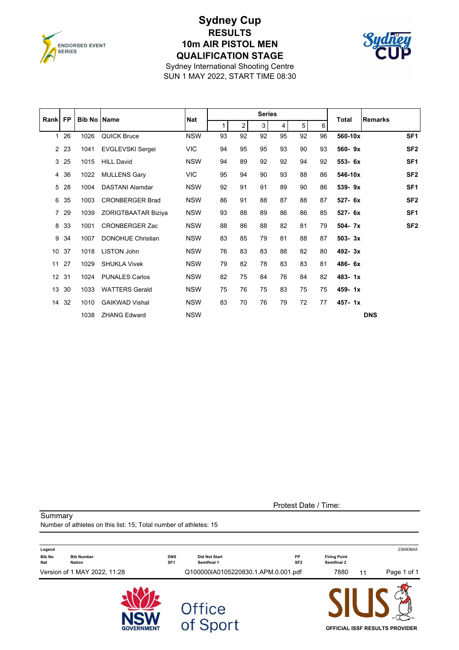

## **Sydney Cup RESULTS 10m AIR PISTOL MEN QUALIFICATION STAGE**



Sydney International Shooting Centre SUN 1 MAY 2022, START TIME 08:30

| Rank            | <b>FP</b> | <b>Bib No Name</b> |                            | <b>Nat</b> |              |                | <b>Series</b>  |                |    |    | <b>Total</b> | <b>Remarks</b>  |
|-----------------|-----------|--------------------|----------------------------|------------|--------------|----------------|----------------|----------------|----|----|--------------|-----------------|
|                 |           |                    |                            |            | $\mathbf{1}$ | 2 <sup>1</sup> | 3 <sup>1</sup> | $\overline{4}$ | 5  | 6  |              |                 |
| $\mathbf{1}$    | 26        | 1026               | <b>QUICK Bruce</b>         | <b>NSW</b> | 93           | 92             | 92             | 95             | 92 | 96 | 560-10x      | SF <sub>1</sub> |
|                 | 2 2 3     | 1041               | <b>EVGLEVSKI Sergei</b>    | <b>VIC</b> | 94           | 95             | 95             | 93             | 90 | 93 | 560-9x       | SF <sub>2</sub> |
| 3               | 25        | 1015               | <b>HILL David</b>          | <b>NSW</b> | 94           | 89             | 92             | 92             | 94 | 92 | 553- 6x      | SF <sub>1</sub> |
| 4               | 36        | 1022               | <b>MULLENS Gary</b>        | <b>VIC</b> | 95           | 94             | 90             | 93             | 88 | 86 | 546-10x      | SF <sub>2</sub> |
| 5               | 28        | 1004               | <b>DASTANI Alamdar</b>     | <b>NSW</b> | 92           | 91             | 91             | 89             | 90 | 86 | 539-9x       | SF <sub>1</sub> |
| 6               | 35        | 1003               | <b>CRONBERGER Brad</b>     | <b>NSW</b> | 86           | 91             | 88             | 87             | 88 | 87 | 527- 6x      | SF <sub>2</sub> |
|                 | 7 29      | 1039               | <b>ZORIGTBAATAR Biziya</b> | <b>NSW</b> | 93           | 88             | 89             | 86             | 86 | 85 | 527- 6x      | SF <sub>1</sub> |
| 8               | 33        | 1001               | <b>CRONBERGER Zac</b>      | <b>NSW</b> | 88           | 86             | 88             | 82             | 81 | 79 | 504-7x       | SF <sub>2</sub> |
| 9               | 34        | 1007               | <b>DONOHUE Christian</b>   | <b>NSW</b> | 83           | 85             | 79             | 81             | 88 | 87 | $503 - 3x$   |                 |
| 10 <sup>°</sup> | 37        | 1018               | LISTON John                | <b>NSW</b> | 76           | 83             | 83             | 88             | 82 | 80 | 492-3x       |                 |
| 11              | 27        | 1029               | <b>SHUKLA Vivek</b>        | <b>NSW</b> | 79           | 82             | 78             | 83             | 83 | 81 | 486-6x       |                 |
| 12 <sup>2</sup> | 31        | 1024               | <b>PUNALES Carlos</b>      | <b>NSW</b> | 82           | 75             | 84             | 76             | 84 | 82 | 483-1x       |                 |
| 13              | 30        | 1033               | <b>WATTERS Gerald</b>      | <b>NSW</b> | 75           | 76             | 75             | 83             | 75 | 75 | 459-1x       |                 |
| 14              | 32        | 1010               | <b>GAIKWAD Vishal</b>      | <b>NSW</b> | 83           | 70             | 76             | 79             | 72 | 77 | $457 - 1x$   |                 |
|                 |           | 1038               | <b>ZHANG Edward</b>        | <b>NSW</b> |              |                |                |                |    |    |              | <b>DNS</b>      |

Protest Date / Time:

Summary Number of athletes on this list: 15; Total number of athletes: 15 **Legend** 2369DBA5 **Bib No Bib Number DNS Did Not Start FP Firing Point Nat Nation SF1 Semifinal 1 SF2 Semifinal 2** Version of 1 MAY 2022, 11:28 Q100000IA0105220830.1.APM.0.001.pdf 7880 11 Page 1 of 1 Office<br>of Sport **OFFICIAL ISSF RESULTS PROVIDER**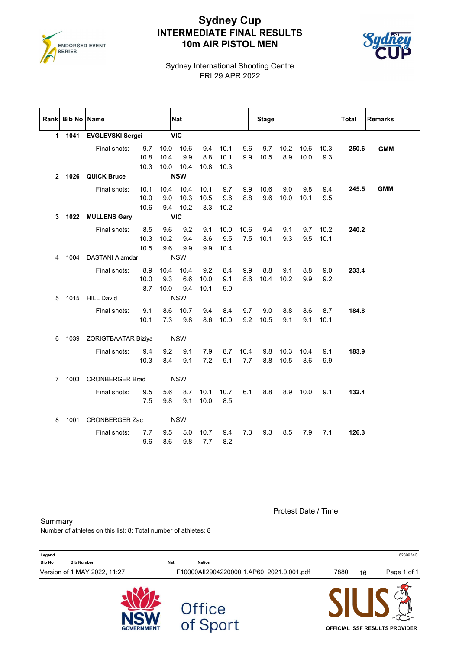

## **Sydney Cup INTERMEDIATE FINAL RESULTS 10m AIR PISTOL MEN**



Sydney International Shooting Centre FRI 29 APR 2022

|   | Rank Bib No Name |                          |                      |                     | Nat                               |                     |                      |             | <b>Stage</b>    |              |              |                    | Total | <b>Remarks</b> |
|---|------------------|--------------------------|----------------------|---------------------|-----------------------------------|---------------------|----------------------|-------------|-----------------|--------------|--------------|--------------------|-------|----------------|
|   | 1 1041           | <b>EVGLEVSKI Sergei</b>  |                      |                     | <b>VIC</b>                        |                     |                      |             |                 |              |              |                    |       |                |
|   |                  | Final shots:             | 9.7<br>10.8<br>10.3  | 10.4                | 10.0 10.6<br>9.9<br>10.0 10.4     | 9.4<br>8.8<br>10.8  | 10.1<br>10.1<br>10.3 | 9.6<br>9.9  | 9.7<br>10.5     | 10.2<br>8.9  | 10.6<br>10.0 | 10.3<br>9.3        | 250.6 | <b>GMM</b>     |
|   |                  | 2 1026 QUICK Bruce       |                      |                     | <b>NSW</b>                        |                     |                      |             |                 |              |              |                    |       |                |
|   |                  | Final shots:             | 10.1<br>10.0<br>10.6 |                     | 10.4 10.4<br>9.0 10.3<br>9.4 10.2 | 10.1<br>10.5<br>8.3 | 9.7<br>9.6<br>10.2   | 9.9<br>8.8  | 10.6<br>9.6     | 9.0<br>10.0  | 9.8<br>10.1  | 9.4<br>9.5         | 245.5 | <b>GMM</b>     |
| 3 |                  | 1022 MULLENS Gary        |                      | <b>VIC</b>          |                                   |                     |                      |             |                 |              |              |                    |       |                |
|   |                  | Final shots:             | 8.5<br>10.3<br>10.5  | 9.6<br>10.2<br>9.6  | 9.2<br>9.4<br>9.9                 | 9.1<br>8.6<br>9.9   | 10.0<br>9.5<br>10.4  | 10.6        | 9.4<br>7.5 10.1 | 9.1<br>9.3   | 9.5          | $9.7$ 10.2<br>10.1 | 240.2 |                |
| 4 |                  | 1004 DASTANI Alamdar     |                      |                     | <b>NSW</b>                        |                     |                      |             |                 |              |              |                    |       |                |
|   |                  | Final shots:             | 8.9<br>10.0<br>8.7   | 10.4<br>9.3<br>10.0 | 10.4<br>6.6<br>9.4                | 9.2<br>10.0<br>10.1 | 8.4<br>9.1<br>9.0    | 9.9<br>8.6  | 8.8<br>10.4     | 9.1<br>10.2  | 8.8<br>9.9   | 9.0<br>9.2         | 233.4 |                |
|   |                  | 5 1015 HILL David        |                      |                     | <b>NSW</b>                        |                     |                      |             |                 |              |              |                    |       |                |
|   |                  | Final shots:             | 9.1<br>10.1          | 7.3                 | 8.6 10.7<br>9.8                   | 9.4<br>8.6          | 8.4<br>10.0          | 9.7<br>9.2  | 9.0<br>10.5     | 8.8<br>9.1   | 8.6<br>9.1   | 8.7<br>10.1        | 184.8 |                |
| 6 |                  | 1039 ZORIGTBAATAR Biziya |                      |                     | <b>NSW</b>                        |                     |                      |             |                 |              |              |                    |       |                |
|   |                  | Final shots:             | 9.4<br>10.3          | 9.2<br>8.4          | 9.1<br>9.1                        | 7.9<br>7.2          | 8.7<br>9.1           | 10.4<br>7.7 | 9.8<br>8.8      | 10.3<br>10.5 | 10.4<br>8.6  | 9.1<br>9.9         | 183.9 |                |
|   |                  | 7 1003 CRONBERGER Brad   |                      |                     | <b>NSW</b>                        |                     |                      |             |                 |              |              |                    |       |                |
|   |                  | Final shots:             | 9.5<br>7.5           | 5.6<br>9.8          | 8.7<br>9.1                        | 10.1<br>10.0        | 10.7<br>8.5          | 6.1         | 8.8             |              | 8.9 10.0     | 9.1                | 132.4 |                |
| 8 |                  | 1001 CRONBERGER Zac      |                      |                     | <b>NSW</b>                        |                     |                      |             |                 |              |              |                    |       |                |
|   |                  | Final shots:             | 7.7<br>9.6           | 9.5<br>8.6          | 5.0<br>9.8                        | 10.7<br>7.7         | 9.4<br>8.2           | 7.3         | 9.3             | 8.5          | 7.9          | 7.1                | 126.3 |                |

Protest Date / Time:

**Summary** Number of athletes on this list: 8; Total number of athletes: 8

| Legend<br><b>Bib No</b><br><b>Bib Number</b> | <b>Nat</b><br>Nation                      |      | 6289934C                       |
|----------------------------------------------|-------------------------------------------|------|--------------------------------|
| Version of 1 MAY 2022, 11:27                 | F10000All2904220000.1.AP60 2021.0.001.pdf | 7880 | Page 1 of 1<br>16              |
| <b>GOVERNMENT</b>                            | Office<br>of Sport                        |      | OFFICIAL ISSF RESULTS PROVIDER |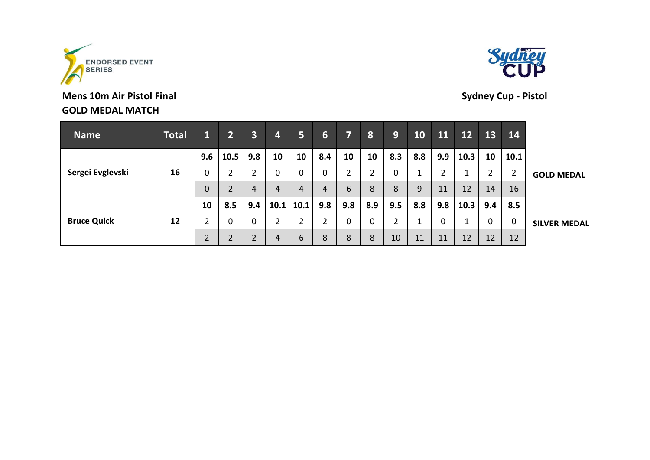

| <b>Name</b>        | <b>Total</b> | $\mathbf{1}$   | $2^+$             | $\overline{\mathbf{3}}$ | $\overline{\mathbf{4}}$ | 5    | 6   |                | 8                  | 9   | <b>10</b> | 11  | 12   | 13  | 14             |                     |
|--------------------|--------------|----------------|-------------------|-------------------------|-------------------------|------|-----|----------------|--------------------|-----|-----------|-----|------|-----|----------------|---------------------|
|                    |              | 9.6            | 10.5              | 9.8                     | 10                      | 10   | 8.4 | 10             | 10                 | 8.3 | 8.8       | 9.9 | 10.3 | 10  | 10.1           |                     |
| Sergei Evglevski   | 16           | 0              | 2                 |                         | $\mathbf 0$             | 0    | 0   | $\overline{2}$ | ำ<br>$\mathcal{L}$ | 0   |           | 2   | ᅩ    |     | $\overline{2}$ | <b>GOLD MEDAL</b>   |
|                    |              | $\mathbf 0$    | 2                 | 4                       | 4                       | 4    | 4   | 6              | 8                  | 8   | 9         | 11  | 12   | 14  | 16             |                     |
|                    |              | 10             | 8.5               | 9.4                     | 10.1                    | 10.1 | 9.8 | 9.8            | 8.9                | 9.5 | 8.8       | 9.8 | 10.3 | 9.4 | 8.5            |                     |
| <b>Bruce Quick</b> | 12           | $\overline{2}$ | 0                 |                         | $\overline{2}$          | າ    | 2   | 0              | 0                  | 2   |           | 0   |      | 0   | 0              | <b>SILVER MEDAL</b> |
|                    |              | $\overline{2}$ | <sup>1</sup><br>∠ |                         | 4                       | 6    | 8   | 8              | 8                  | 10  | 11        | 11  | 12   | 12  | 12             |                     |

# **Mens 10m Air Pistol Final Sydney Cup - Pistol GOLD MEDAL MATCH**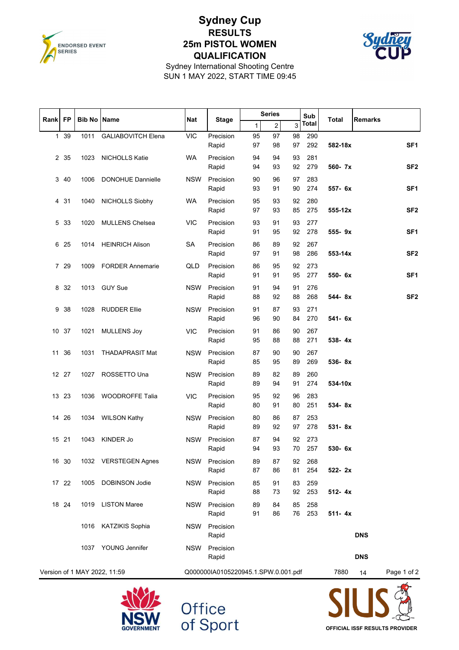

## **Sydney Cup RESULTS 25m PISTOL WOMEN QUALIFICATION**



Sydney International Shooting Centre SUN 1 MAY 2022, START TIME 09:45

| Rank | <b>FP</b> | <b>Bib No Name</b> |                              | <b>Nat</b> |                                     |              | <b>Series</b>  |          | Sub        | <b>Total</b> | <b>Remarks</b> |                 |
|------|-----------|--------------------|------------------------------|------------|-------------------------------------|--------------|----------------|----------|------------|--------------|----------------|-----------------|
|      |           |                    |                              |            | <b>Stage</b>                        | $\mathbf{1}$ | $\overline{2}$ | 3        | Total      |              |                |                 |
|      | 1 39      | 1011               | <b>GALIABOVITCH Elena</b>    | <b>VIC</b> | Precision<br>Rapid                  | 95<br>97     | 97<br>98       | 98<br>97 | 290<br>292 | 582-18x      |                | SF <sub>1</sub> |
|      | 2 35      | 1023               | NICHOLLS Katie               | <b>WA</b>  | Precision<br>Rapid                  | 94<br>94     | 94<br>93       | 93<br>92 | 281<br>279 | 560- 7x      |                | SF <sub>2</sub> |
|      | 3 40      | 1006               | <b>DONOHUE Dannielle</b>     | <b>NSW</b> | Precision<br>Rapid                  | 90<br>93     | 96<br>91       | 97<br>90 | 283<br>274 | 557- 6x      |                | SF <sub>1</sub> |
| 4    | 31        | 1040               | NICHOLLS Siobhy              | WA         | Precision<br>Rapid                  | 95<br>97     | 93<br>93       | 92<br>85 | 280<br>275 | 555-12x      |                | SF <sub>2</sub> |
| 5    | 33        | 1020               | <b>MULLENS Chelsea</b>       | <b>VIC</b> | Precision                           | 93           | 91             | 93       | 277        |              |                |                 |
| 6    | 25        | 1014               | <b>HEINRICH Alison</b>       | SA         | Rapid<br>Precision                  | 91<br>86     | 95<br>89       | 92<br>92 | 278<br>267 | 555-9x       |                | SF <sub>1</sub> |
|      |           |                    |                              |            | Rapid                               | 97           | 91             | 98       | 286        | 553-14x      |                | SF <sub>2</sub> |
|      | 7 29      | 1009               | <b>FORDER Annemarie</b>      | QLD        | Precision<br>Rapid                  | 86<br>91     | 95<br>91       | 92<br>95 | 273<br>277 | 550- 6x      |                | SF <sub>1</sub> |
| 8    | 32        | 1013               | <b>GUY Sue</b>               | <b>NSW</b> | Precision<br>Rapid                  | 91<br>88     | 94<br>92       | 91<br>88 | 276<br>268 | 544-8x       |                | SF <sub>2</sub> |
| 9    | 38        | 1028               | <b>RUDDER Ellie</b>          | <b>NSW</b> | Precision<br>Rapid                  | 91<br>96     | 87<br>90       | 93<br>84 | 271<br>270 | 541- 6x      |                |                 |
|      | 10 37     | 1021               | <b>MULLENS Joy</b>           | <b>VIC</b> | Precision<br>Rapid                  | 91<br>95     | 86<br>88       | 90<br>88 | 267<br>271 | $538 - 4x$   |                |                 |
| 11   | 36        | 1031               | <b>THADAPRASIT Mat</b>       | <b>NSW</b> | Precision<br>Rapid                  | 87<br>85     | 90<br>95       | 90<br>89 | 267<br>269 | 536-8x       |                |                 |
|      | 12 27     | 1027               | ROSSETTO Una                 | <b>NSW</b> | Precision<br>Rapid                  | 89<br>89     | 82<br>94       | 89<br>91 | 260<br>274 | 534-10x      |                |                 |
|      | 13 23     | 1036               | <b>WOODROFFE Talia</b>       | <b>VIC</b> | Precision                           | 95           | 92             | 96       | 283        |              |                |                 |
|      |           |                    |                              |            | Rapid                               | 80           | 91             | 80       | 251        | 534-8x       |                |                 |
| 14   | 26        | 1034               | <b>WILSON Kathy</b>          | <b>NSW</b> | Precision<br>Rapid                  | 80<br>89     | 86<br>92       | 87<br>97 | 253<br>278 | 531-8x       |                |                 |
|      | 15 21     | 1043               | KINDER Jo                    | <b>NSW</b> | Precision<br>Rapid                  | 87<br>94     | 94<br>93       | 92<br>70 | 273<br>257 | 530- 6x      |                |                 |
|      | 16 30     |                    | 1032 VERSTEGEN Agnes         | NSW        | Precision<br>Rapid                  | 89<br>87     | 87<br>86       | 92<br>81 | 268<br>254 | 522-2x       |                |                 |
|      | 17 22     | 1005               | <b>DOBINSON Jodie</b>        | <b>NSW</b> | Precision<br>Rapid                  | 85<br>88     | 91<br>73       | 83<br>92 | 259<br>253 | 512-4x       |                |                 |
|      | 18 24     |                    | 1019 LISTON Maree            | <b>NSW</b> | Precision<br>Rapid                  | 89<br>91     | 84<br>86       | 85<br>76 | 258<br>253 | $511 - 4x$   |                |                 |
|      |           | 1016               | KATZIKIS Sophia              | NSW        | Precision<br>Rapid                  |              |                |          |            |              | <b>DNS</b>     |                 |
|      |           | 1037               | YOUNG Jennifer               | <b>NSW</b> | Precision<br>Rapid                  |              |                |          |            |              | <b>DNS</b>     |                 |
|      |           |                    | Version of 1 MAY 2022, 11:59 |            | Q000000IA0105220945.1.SPW.0.001.pdf |              |                |          |            | 7880         | 14             | Page 1 of 2     |
|      |           |                    |                              |            |                                     |              |                |          |            |              |                |                 |



Office<br>of Sport

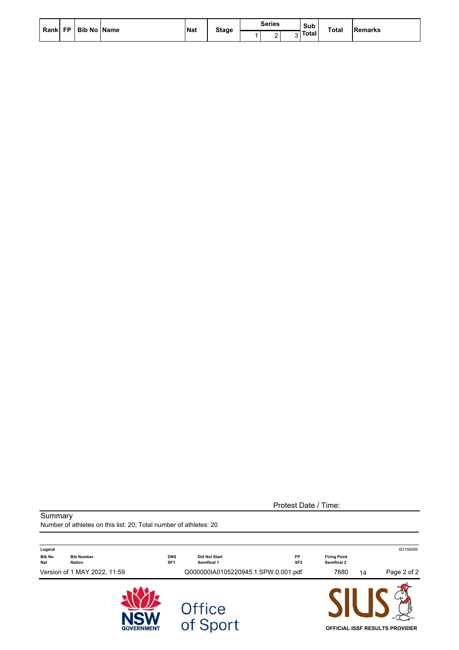|  | Rank FP   Bib No   Name | <b>INat</b> |              | Series      | Sub     | <b>Total</b> | <b>Remarks</b> |
|--|-------------------------|-------------|--------------|-------------|---------|--------------|----------------|
|  |                         |             | <b>Stage</b> | $\sim$<br>- | ন Total |              |                |

Protest Date / Time:

**Summary** 

Number of athletes on this list: 20; Total number of athletes: 20

| Legend                      |                                    |                               |                                     |                              |                                    |    | 6D156099                              |
|-----------------------------|------------------------------------|-------------------------------|-------------------------------------|------------------------------|------------------------------------|----|---------------------------------------|
| <b>Bib No</b><br><b>Nat</b> | <b>Bib Number</b><br><b>Nation</b> | <b>DNS</b><br>SF <sub>1</sub> | <b>Did Not Start</b><br>Semifinal 1 | <b>FP</b><br>SF <sub>2</sub> | <b>Firing Point</b><br>Semifinal 2 |    |                                       |
|                             | Version of 1 MAY 2022, 11:59       |                               | Q000000IA0105220945.1.SPW.0.001.pdf |                              | 7880                               | 14 | Page 2 of 2                           |
|                             | <b>GOVERNMENT</b>                  |                               | <b>Office</b><br>of Sport           |                              |                                    |    | <b>OFFICIAL ISSF RESULTS PROVIDER</b> |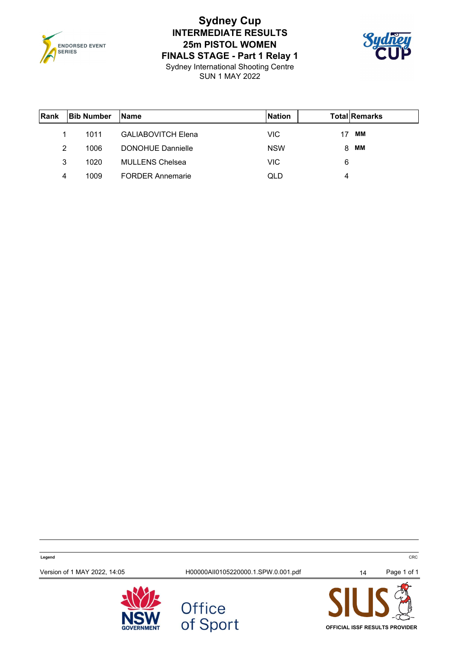

# **Sydney Cup INTERMEDIATE RESULTS 25m PISTOL WOMEN FINALS STAGE - Part 1 Relay 1**



Sydney International Shooting Centre SUN 1 MAY 2022

| Rank | <b>Bib Number</b> | <b>Name</b>               | <b>Nation</b> |   | <b>Total Remarks</b> |
|------|-------------------|---------------------------|---------------|---|----------------------|
|      | 1011              | <b>GALIABOVITCH Elena</b> | VIC.          |   | MМ                   |
| 2    | 1006              | DONOHUE Dannielle         | <b>NSW</b>    | 8 | MМ                   |
| 3    | 1020              | <b>MULLENS Chelsea</b>    | VIC           | 6 |                      |
| 4    | 1009              | <b>FORDER Annemarie</b>   | QLD           | 4 |                      |

**Legend** CRC Version of 1 MAY 2022, 14:05 100000AII0105220000.1.SPW.0.001.pdf 14 Page 1 of 1 Office<br>of Sport





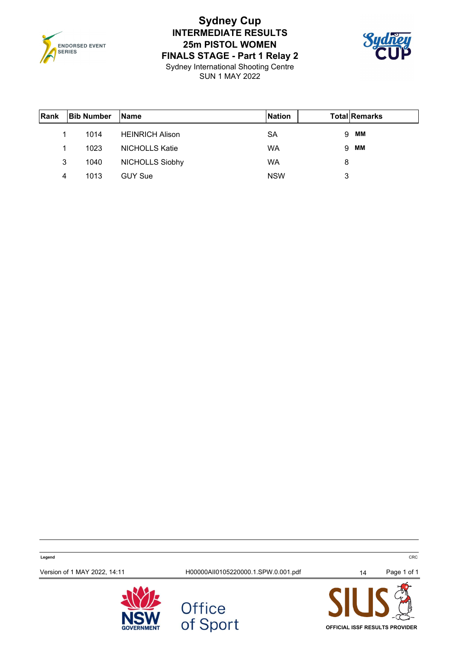

# **Sydney Cup INTERMEDIATE RESULTS 25m PISTOL WOMEN FINALS STAGE - Part 1 Relay 2**



Sydney International Shooting Centre SUN 1 MAY 2022

| Rank | <b>Bib Number</b> | <b>Name</b>            | <b>Nation</b> |   | <b>Total Remarks</b> |
|------|-------------------|------------------------|---------------|---|----------------------|
| 1    | 1014              | <b>HEINRICH Alison</b> | SA            | 9 | ΜМ                   |
| 1    | 1023              | <b>NICHOLLS Katie</b>  | WA            | 9 | MМ                   |
| 3    | 1040              | <b>NICHOLLS Siobhy</b> | WA            | 8 |                      |
| 4    | 1013              | <b>GUY Sue</b>         | <b>NSW</b>    | 3 |                      |

**Legend** CRC Version of 1 MAY 2022, 14:11 H00000AII0105220000.1.SPW.0.001.pdf 14 Page 1 of 1